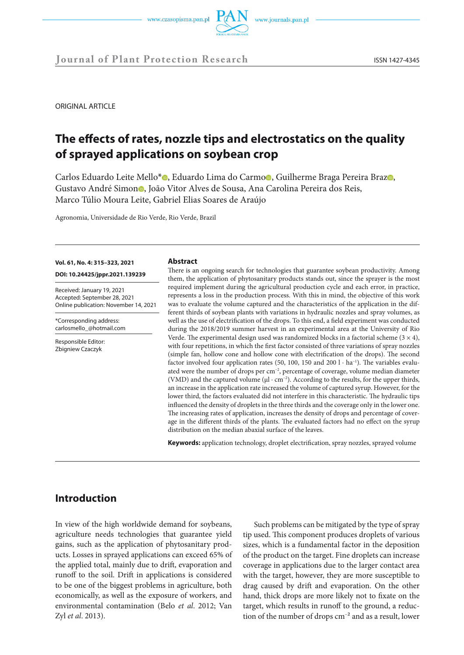



**Journal of Plant Protection Research** ISSN 1427-4345

ORIGINAL ARTICLE

# **The effects of rates, nozzle tips and electrostatics on the quality of sprayed applications on soybean crop**

Carlos Eduardo Leite [M](https://orcid.org/0000-0001-6935-6580)ello\*<sup>o</sup>[,](https://orcid.org/0000-0002-0396-7140) Eduardo Lima do Carmo<sup>o</sup>, Guilherme Braga Pereira Braz<sup>o</sup>, Gustavo André Simono, João Vitor Alves de Sousa, Ana Carolina Pereira dos Reis, Marco Túlio Moura Leite, Gabriel Elias Soares de Araújo

Agronomia, Universidade de Rio Verde, Rio Verde, Brazil

#### **Vol. 61, No. 4: 315–323, 2021**

**DOI: 10.24425/jppr.2021.139239**

Received: January 19, 2021 Accepted: September 28, 2021 Online publication: November 14, 2021

\*Corresponding address: carlosmello\_@hotmail.com

Responsible Editor: Zbigniew Czaczyk

#### **Abstract**

There is an ongoing search for technologies that guarantee soybean productivity. Among them, the application of phytosanitary products stands out, since the sprayer is the most required implement during the agricultural production cycle and each error, in practice, represents a loss in the production process. With this in mind, the objective of this work was to evaluate the volume captured and the characteristics of the application in the different thirds of soybean plants with variations in hydraulic nozzles and spray volumes, as well as the use of electrification of the drops. To this end, a field experiment was conducted during the 2018/2019 summer harvest in an experimental area at the University of Rio Verde. The experimental design used was randomized blocks in a factorial scheme  $(3 \times 4)$ , with four repetitions, in which the first factor consisted of three variations of spray nozzles (simple fan, hollow cone and hollow cone with electrification of the drops). The second factor involved four application rates (50, 100, 150 and 200  $l \cdot ha^{-1}$ ). The variables evaluated were the number of drops per cm<sup>-2</sup>, percentage of coverage, volume median diameter (VMD) and the captured volume ( $\mu$ l · cm<sup>-2</sup>). According to the results, for the upper thirds, an increase in the application rate increased the volume of captured syrup. However, for the lower third, the factors evaluated did not interfere in this characteristic. The hydraulic tips influenced the density of droplets in the three thirds and the coverage only in the lower one. The increasing rates of application, increases the density of drops and percentage of coverage in the different thirds of the plants. The evaluated factors had no effect on the syrup distribution on the median abaxial surface of the leaves.

**Keywords:** application technology, droplet electrification, spray nozzles, sprayed volume

# **Introduction**

In view of the high worldwide demand for soybeans, agriculture needs technologies that guarantee yield gains, such as the application of phytosanitary products. Losses in sprayed applications can exceed 65% of the applied total, mainly due to drift, evaporation and runoff to the soil. Drift in applications is considered to be one of the biggest problems in agriculture, both economically, as well as the exposure of workers, and environmental contamination (Belo *et al*. 2012; Van Zyl *et al*. 2013).

Such problems can be mitigated by the type of spray tip used. This component produces droplets of various sizes, which is a fundamental factor in the deposition of the product on the target. Fine droplets can increase coverage in applications due to the larger contact area with the target, however, they are more susceptible to drag caused by drift and evaporation. On the other hand, thick drops are more likely not to fixate on the target, which results in runoff to the ground, a reduction of the number of drops  $cm^{-2}$  and as a result, lower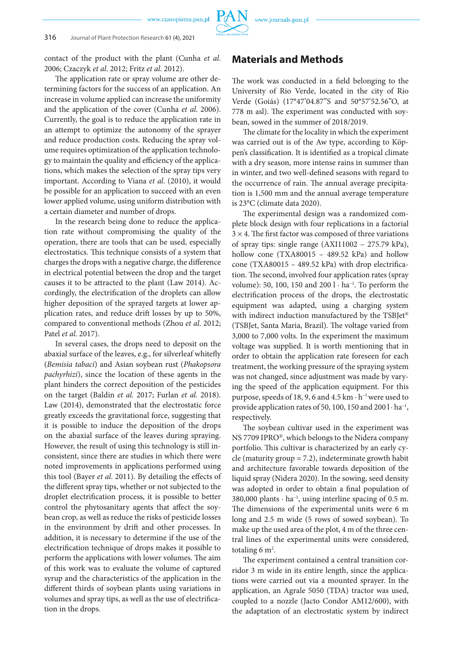contact of the product with the plant (Cunha *et al*. 2006; Czaczyk *et al*. 2012; Fritz *et al*. 2012).

The application rate or spray volume are other determining factors for the success of an application. An increase in volume applied can increase the uniformity and the application of the cover (Cunha *et al*. 2006). Currently, the goal is to reduce the application rate in an attempt to optimize the autonomy of the sprayer and reduce production costs. Reducing the spray volume requires optimization of the application technology to maintain the quality and efficiency of the applications, which makes the selection of the spray tips very important. According to Viana *et al*. (2010), it would be possible for an application to succeed with an even lower applied volume, using uniform distribution with a certain diameter and number of drops.

In the research being done to reduce the application rate without compromising the quality of the operation, there are tools that can be used, especially electrostatics. This technique consists of a system that charges the drops with a negative charge, the difference in electrical potential between the drop and the target causes it to be attracted to the plant (Law 2014). Accordingly, the electrification of the droplets can allow higher deposition of the sprayed targets at lower application rates, and reduce drift losses by up to 50%, compared to conventional methods (Zhou *et al*. 2012; Patel *et al*. 2017).

In several cases, the drops need to deposit on the abaxial surface of the leaves, e.g., for silverleaf whitefly (*Bemisia tabaci*) and Asian soybean rust (*Phakopsora pachyrhizi*), since the location of these agents in the plant hinders the correct deposition of the pesticides on the target (Baldin *et al.* 2017; Furlan *et al.* 2018). Law (2014), demonstrated that the electrostatic force greatly exceeds the gravitational force, suggesting that it is possible to induce the deposition of the drops on the abaxial surface of the leaves during spraying. However, the result of using this technology is still inconsistent, since there are studies in which there were noted improvements in applications performed using this tool (Bayer *et al*. 2011). By detailing the effects of the different spray tips, whether or not subjected to the droplet electrification process, it is possible to better control the phytosanitary agents that affect the soybean crop, as well as reduce the risks of pesticide losses in the environment by drift and other processes. In addition, it is necessary to determine if the use of the electrification technique of drops makes it possible to perform the applications with lower volumes. The aim of this work was to evaluate the volume of captured syrup and the characteristics of the application in the different thirds of soybean plants using variations in volumes and spray tips, as well as the use of electrification in the drops.

### **Materials and Methods**

The work was conducted in a field belonging to the University of Rio Verde, located in the city of Rio Verde (Goiás) (17°47'04.87"S and 50°57'52.56"O, at 778 m asl). The experiment was conducted with soybean, sowed in the summer of 2018/2019.

The climate for the locality in which the experiment was carried out is of the Aw type, according to Köppen's classification. It is identified as a tropical climate with a dry season, more intense rains in summer than in winter, and two well-defined seasons with regard to the occurrence of rain. The annual average precipitation is 1,500 mm and the annual average temperature is 23°C (climate data 2020).

The experimental design was a randomized complete block design with four replications in a factorial  $3 \times 4$ . The first factor was composed of three variations of spray tips: single range (AXI11002 – 275.79 kPa), hollow cone (TXA80015 – 489.52 kPa) and hollow cone (TXA80015 – 489.52 kPa) with drop electrification. The second, involved four application rates (spray volume): 50, 100, 150 and  $200 \cdot ha^{-1}$ . To perform the electrification process of the drops, the electrostatic equipment was adapted, using a charging system with indirect induction manufactured by the TSBJet® (TSBJet, Santa Maria, Brazil). The voltage varied from 3,000 to 7,000 volts. In the experiment the maximum voltage was supplied. It is worth mentioning that in order to obtain the application rate foreseen for each treatment, the working pressure of the spraying system was not changed, since adjustment was made by varying the speed of the application equipment. For this purpose, speeds of 18, 9, 6 and 4.5 km  $\cdot$  h<sup>-1</sup> were used to provide application rates of 50, 100, 150 and  $200 \cdot h a^{-1}$ , respectively.

The soybean cultivar used in the experiment was NS 7709 IPRO®, which belongs to the Nidera company portfolio. This cultivar is characterized by an early cycle (maturity group = 7.2), indeterminate growth habit and architecture favorable towards deposition of the liquid spray (Nidera 2020). In the sowing, seed density was adopted in order to obtain a final population of 380,000 plants  $\cdot$  ha<sup>-1</sup>, using interline spacing of 0.5 m. The dimensions of the experimental units were 6 m long and 2.5 m wide (5 rows of sowed soybean). To make up the used area of the plot, 4 m of the three central lines of the experimental units were considered, totaling  $6 \text{ m}^2$ .

The experiment contained a central transition corridor 3 m wide in its entire length, since the applications were carried out via a mounted sprayer. In the application, an Agrale 5050 (TDA) tractor was used, coupled to a nozzle (Jacto Condor AM12/600), with the adaptation of an electrostatic system by indirect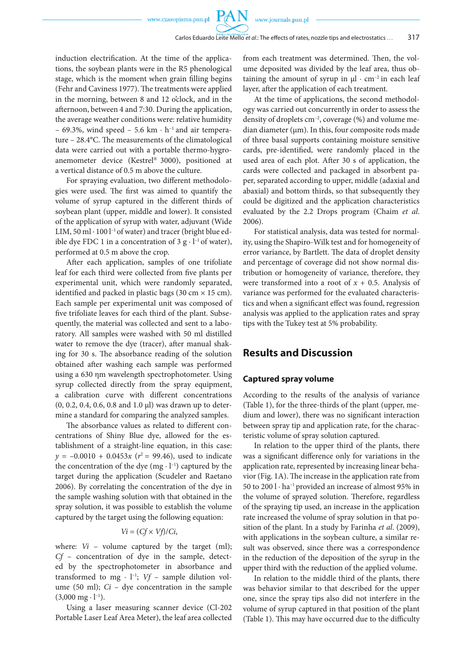**PAN** 

induction electrification. At the time of the applications, the soybean plants were in the R5 phenological stage, which is the moment when grain filling begins (Fehr and Caviness 1977). The treatments were applied in the morning, between 8 and 12 o'clock, and in the afternoon, between 4 and 7:30. During the application, the average weather conditions were: relative humidity – 69.3%, wind speed – 5.6  $km \cdot h^{-1}$  and air temperature – 28.4°C. The measurements of the climatological data were carried out with a portable thermo-hygroanemometer device (Kestrel® 3000), positioned at a vertical distance of 0.5 m above the culture.

For spraying evaluation, two different methodologies were used. The first was aimed to quantify the volume of syrup captured in the different thirds of soybean plant (upper, middle and lower). It consisted of the application of syrup with water, adjuvant (Wide LIM, 50 ml⋅100 l<sup>-1</sup> of water) and tracer (bright blue edible dye FDC 1 in a concentration of 3  $g \cdot l^{-1}$  of water), performed at 0.5 m above the crop.

After each application, samples of one trifoliate leaf for each third were collected from five plants per experimental unit, which were randomly separated, identified and packed in plastic bags (30 cm  $\times$  15 cm). Each sample per experimental unit was composed of five trifoliate leaves for each third of the plant. Subsequently, the material was collected and sent to a laboratory. All samples were washed with 50 ml distilled water to remove the dye (tracer), after manual shaking for 30 s. The absorbance reading of the solution obtained after washing each sample was performed using a 630 ηm wavelength spectrophotometer. Using syrup collected directly from the spray equipment, a calibration curve with different concentrations (0, 0.2, 0.4, 0.6, 0.8 and 1.0 µl) was drawn up to determine a standard for comparing the analyzed samples.

The absorbance values as related to different concentrations of Shiny Blue dye, allowed for the establishment of a straight-line equation, in this case:  $y = -0.0010 + 0.0453x$  ( $r^2 = 99.46$ ), used to indicate the concentration of the dye  $(mg \cdot l^{-1})$  captured by the target during the application (Scudeler and Raetano 2006). By correlating the concentration of the dye in the sample washing solution with that obtained in the spray solution, it was possible to establish the volume captured by the target using the following equation:

$$
Vi = (Cf \times Vf)/Ci,
$$

where:  $Vi$  – volume captured by the target (ml); *Cf* – concentration of dye in the sample, detected by the spectrophotometer in absorbance and transformed to mg  $\cdot$  1<sup>-1</sup>; *Vf* – sample dilution volume (50 ml); *Ci* – dye concentration in the sample  $(3,000 \text{ mg} \cdot \text{1}^{-1}).$ 

Using a laser measuring scanner device (Cl-202 Portable Laser Leaf Area Meter), the leaf area collected from each treatment was determined. Then, the volume deposited was divided by the leaf area, thus obtaining the amount of syrup in  $\mu l \cdot cm^{-2}$  in each leaf layer, after the application of each treatment.

At the time of applications, the second methodology was carried out concurrently in order to assess the density of droplets cm–2, coverage (%) and volume median diameter (μm). In this, four composite rods made of three basal supports containing moisture sensitive cards, pre-identified, were randomly placed in the used area of each plot. After 30 s of application, the cards were collected and packaged in absorbent paper, separated according to upper, middle (adaxial and abaxial) and bottom thirds, so that subsequently they could be digitized and the application characteristics evaluated by the 2.2 Drops program (Chaim *et al*. 2006).

For statistical analysis, data was tested for normality, using the Shapiro-Wilk test and for homogeneity of error variance, by Bartlett. The data of droplet density and percentage of coverage did not show normal distribution or homogeneity of variance, therefore, they were transformed into a root of  $x + 0.5$ . Analysis of variance was performed for the evaluated characteristics and when a significant effect was found, regression analysis was applied to the application rates and spray tips with the Tukey test at 5% probability.

### **Results and Discussion**

#### **Captured spray volume**

According to the results of the analysis of variance (Table 1), for the three-thirds of the plant (upper, medium and lower), there was no significant interaction between spray tip and application rate, for the characteristic volume of spray solution captured.

In relation to the upper third of the plants, there was a significant difference only for variations in the application rate, represented by increasing linear behavior (Fig. 1A). The increase in the application rate from 50 to 200 l · ha–1 provided an increase of almost 95% in the volume of sprayed solution. Therefore, regardless of the spraying tip used, an increase in the application rate increased the volume of spray solution in that position of the plant. In a study by Farinha *et al*. (2009), with applications in the soybean culture, a similar result was observed, since there was a correspondence in the reduction of the deposition of the syrup in the upper third with the reduction of the applied volume.

In relation to the middle third of the plants, there was behavior similar to that described for the upper one, since the spray tips also did not interfere in the volume of syrup captured in that position of the plant (Table 1). This may have occurred due to the difficulty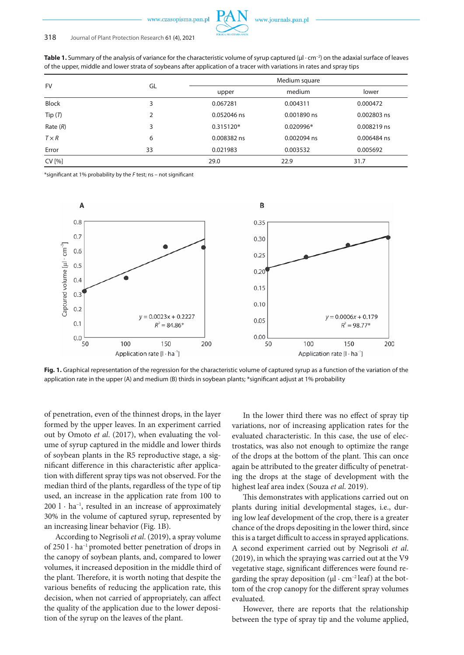| <b>FV</b>    | GL | Medium square |             |             |  |
|--------------|----|---------------|-------------|-------------|--|
|              |    | upper         | medium      | lower       |  |
| <b>Block</b> | 3  | 0.067281      | 0.004311    | 0.000472    |  |
| Tip(T)       | 2  | 0.052046 ns   | 0.001890 ns | 0.002803 ns |  |
| Rate $(R)$   | 3  | 0.315120*     | 0.020996*   | 0.008219 ns |  |
| $T \times R$ | 6  | 0.008382 ns   | 0.002094 ns | 0.006484 ns |  |
| Error        | 33 | 0.021983      | 0.003532    | 0.005692    |  |
| CV [%]       |    | 29.0          | 22.9        | 31.7        |  |

Table 1. Summary of the analysis of variance for the characteristic volume of syrup captured (µl · cm<sup>-2</sup>) on the adaxial surface of leaves of the upper, middle and lower strata of soybeans after application of a tracer with variations in rates and spray tips

\*significant at 1% probability by the *F* test; ns – not significant



Fig. 1. Graphical representation of the regression for the characteristic volume of captured syrup as a function of the variation of the application rate in the upper (A) and medium (B) thirds in soybean plants; \*significant adjust at 1% probability

of penetration, even of the thinnest drops, in the layer formed by the upper leaves. In an experiment carried out by Omoto *et al*. (2017), when evaluating the volume of syrup captured in the middle and lower thirds of soybean plants in the R5 reproductive stage, a significant difference in this characteristic after application with different spray tips was not observed. For the median third of the plants, regardless of the type of tip used, an increase in the application rate from 100 to  $200$   $1 \cdot$  ha<sup>-1</sup>, resulted in an increase of approximately 30% in the volume of captured syrup, represented by an increasing linear behavior (Fig. 1B).

According to Negrisoli *et al*. (2019), a spray volume of 250 l · ha–1 promoted better penetration of drops in the canopy of soybean plants, and, compared to lower volumes, it increased deposition in the middle third of the plant. Therefore, it is worth noting that despite the various benefits of reducing the application rate, this decision, when not carried of appropriately, can affect the quality of the application due to the lower deposition of the syrup on the leaves of the plant.

In the lower third there was no effect of spray tip variations, nor of increasing application rates for the evaluated characteristic. In this case, the use of electrostatics, was also not enough to optimize the range of the drops at the bottom of the plant. This can once again be attributed to the greater difficulty of penetrating the drops at the stage of development with the highest leaf area index (Souza *et al*. 2019).

This demonstrates with applications carried out on plants during initial developmental stages, i.e., during low leaf development of the crop, there is a greater chance of the drops depositing in the lower third, since this is a target difficult to access in sprayed applications. A second experiment carried out by Negrisoli *et al*. (2019), in which the spraying was carried out at the V9 vegetative stage, significant differences were found regarding the spray deposition ( $\mu$ l · cm<sup>-2</sup> leaf) at the bottom of the crop canopy for the different spray volumes evaluated.

However, there are reports that the relationship between the type of spray tip and the volume applied,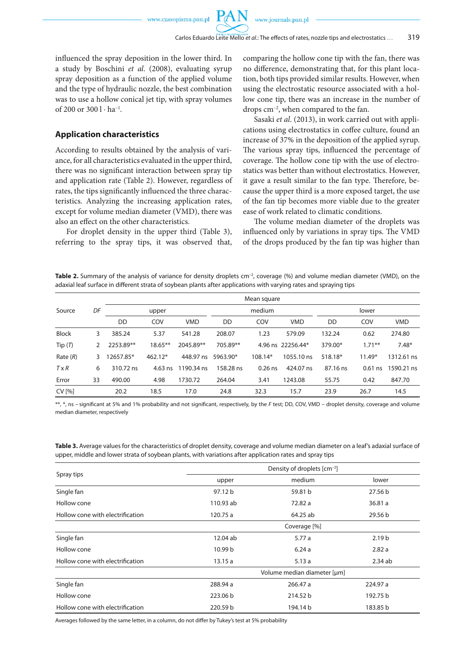influenced the spray deposition in the lower third. In a study by Boschini *et al*. (2008), evaluating syrup spray deposition as a function of the applied volume and the type of hydraulic nozzle, the best combination was to use a hollow conical jet tip, with spray volumes of 200 or  $300 \cdot h a^{-1}$ .

### **Application characteristics**

According to results obtained by the analysis of variance, for all characteristics evaluated in the upper third, there was no significant interaction between spray tip and application rate (Table 2). However, regardless of rates, the tips significantly influenced the three characteristics. Analyzing the increasing application rates, except for volume median diameter (VMD), there was also an effect on the other characteristics.

For droplet density in the upper third (Table 3), referring to the spray tips, it was observed that, comparing the hollow cone tip with the fan, there was no difference, demonstrating that, for this plant location, both tips provided similar results. However, when using the electrostatic resource associated with a hollow cone tip, there was an increase in the number of drops cm–2, when compared to the fan.

Sasaki *et al*. (2013), in work carried out with applications using electrostatics in coffee culture, found an increase of 37% in the deposition of the applied syrup. The various spray tips, influenced the percentage of coverage. The hollow cone tip with the use of electrostatics was better than without electrostatics. However, it gave a result similar to the fan type. Therefore, because the upper third is a more exposed target, the use of the fan tip becomes more viable due to the greater ease of work related to climatic conditions.

The volume median diameter of the droplets was influenced only by variations in spray tips. The VMD of the drops produced by the fan tip was higher than

Table 2. Summary of the analysis of variance for density droplets cm<sup>-2</sup>, coverage (%) and volume median diameter (VMD), on the adaxial leaf surface in different strata of soybean plants after applications with varying rates and spraying tips

|              |    | Mean square |            |            |           |           |                   |          |           |            |
|--------------|----|-------------|------------|------------|-----------|-----------|-------------------|----------|-----------|------------|
| DF<br>Source |    | upper       |            |            | medium    |           | lower             |          |           |            |
|              |    | DD          | COV        | <b>VMD</b> | DD        | COV       | <b>VMD</b>        | DD       | COV       | <b>VMD</b> |
| <b>Block</b> | 3  | 385.24      | 5.37       | 541.28     | 208.07    | 1.23      | 579.09            | 132.24   | 0.62      | 274.80     |
| Tip (7)      | 2  | 2253.89**   | $18.65***$ | 2045.89**  | 705.89**  |           | 4.96 ns 22256.44* | 379.00*  | $1.71***$ | $7.48*$    |
| Rate $(R)$   | 3. | 12657.85*   | $462.12*$  | 448.97 ns  | 5963.90*  | 108.14*   | 1055.10 ns        | 518.18*  | $11.49*$  | 1312.61 ns |
| TXR          | 6  | 310.72 ns   | $4.63$ ns  | 1190.34 ns | 158.28 ns | $0.26$ ns | 424.07 ns         | 87.16 ns | $0.61$ ns | 1590.21 ns |
| Error        | 33 | 490.00      | 4.98       | 1730.72    | 264.04    | 3.41      | 1243.08           | 55.75    | 0.42      | 847.70     |
| CV[%]        |    | 20.2        | 18.5       | 17.0       | 24.8      | 32.3      | 15.7              | 23.9     | 26.7      | 14.5       |

\*\*, \*, ns – significant at 5% and 1% probability and not significant, respectively, by the *F* test; DD, COV, VMD – droplet density, coverage and volume median diameter, respectively

**Table 3.** Average values for the characteristics of droplet density, coverage and volume median diameter on a leaf's adaxial surface of upper, middle and lower strata of soybean plants, with variations after application rates and spray tips

|                                  | Density of droplets [cm <sup>-2</sup> ] |              |                   |  |
|----------------------------------|-----------------------------------------|--------------|-------------------|--|
| Spray tips                       | upper                                   | medium       | lower             |  |
| Single fan                       | 97.12 b                                 | 59.81 b      | 27.56 b           |  |
| Hollow cone                      | 110.93 ab                               | 72.82 a      | 36.81 a           |  |
| Hollow cone with electrification | 64.25 ab<br>120.75 a                    |              | 29.56 b           |  |
|                                  |                                         | Coverage [%] |                   |  |
| Single fan                       | 12.04 ab                                | 5.77a        | 2.19 <sub>b</sub> |  |
| Hollow cone                      | 10.99 b                                 | 6.24a        | 2.82a             |  |
| Hollow cone with electrification | 13.15a                                  | 5.13a        | 2.34ab            |  |
|                                  | Volume median diameter [µm]             |              |                   |  |
| Single fan                       | 288.94 a                                | 266.47 a     | 224.97 a          |  |
| Hollow cone                      | 223.06 b                                | 214.52 b     | 192.75 b          |  |
| Hollow cone with electrification | 220.59 b                                | 194.14 b     | 183.85 b          |  |

Averages followed by the same letter, in a column, do not differ by Tukey's test at 5% probability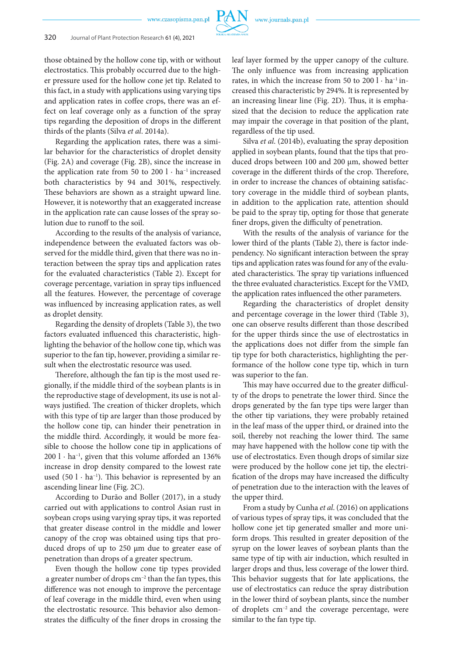those obtained by the hollow cone tip, with or without electrostatics. This probably occurred due to the higher pressure used for the hollow cone jet tip. Related to this fact, in a study with applications using varying tips and application rates in coffee crops, there was an effect on leaf coverage only as a function of the spray tips regarding the deposition of drops in the different thirds of the plants (Silva *et al*. 2014a).

Regarding the application rates, there was a similar behavior for the characteristics of droplet density (Fig. 2A) and coverage (Fig. 2B), since the increase in the application rate from 50 to 200  $l \cdot ha^{-1}$  increased both characteristics by 94 and 301%, respectively. These behaviors are shown as a straight upward line. However, it is noteworthy that an exaggerated increase in the application rate can cause losses of the spray solution due to runoff to the soil.

According to the results of the analysis of variance, independence between the evaluated factors was observed for the middle third, given that there was no interaction between the spray tips and application rates for the evaluated characteristics (Table 2). Except for coverage percentage, variation in spray tips influenced all the features. However, the percentage of coverage was influenced by increasing application rates, as well as droplet density.

Regarding the density of droplets (Table 3), the two factors evaluated influenced this characteristic, highlighting the behavior of the hollow cone tip, which was superior to the fan tip, however, providing a similar result when the electrostatic resource was used.

Therefore, although the fan tip is the most used regionally, if the middle third of the soybean plants is in the reproductive stage of development, its use is not always justified. The creation of thicker droplets, which with this type of tip are larger than those produced by the hollow cone tip, can hinder their penetration in the middle third. Accordingly, it would be more feasible to choose the hollow cone tip in applications of  $200$  l · ha<sup>-1</sup>, given that this volume afforded an 136% increase in drop density compared to the lowest rate used  $(50 \, 1 \cdot ha^{-1})$ . This behavior is represented by an ascending linear line (Fig. 2C).

According to Durão and Boller (2017), in a study carried out with applications to control Asian rust in soybean crops using varying spray tips, it was reported that greater disease control in the middle and lower canopy of the crop was obtained using tips that produced drops of up to 250 μm due to greater ease of penetration than drops of a greater spectrum.

Even though the hollow cone tip types provided a greater number of drops cm–2 than the fan types, this difference was not enough to improve the percentage of leaf coverage in the middle third, even when using the electrostatic resource. This behavior also demonstrates the difficulty of the finer drops in crossing the leaf layer formed by the upper canopy of the culture. The only influence was from increasing application rates, in which the increase from 50 to 200  $l \cdot ha^{-1}$  increased this characteristic by 294%. It is represented by an increasing linear line (Fig. 2D). Thus, it is emphasized that the decision to reduce the application rate may impair the coverage in that position of the plant, regardless of the tip used.

Silva *et al*. (2014b), evaluating the spray deposition applied in soybean plants, found that the tips that produced drops between 100 and 200 μm, showed better coverage in the different thirds of the crop. Therefore, in order to increase the chances of obtaining satisfactory coverage in the middle third of soybean plants, in addition to the application rate, attention should be paid to the spray tip, opting for those that generate finer drops, given the difficulty of penetration.

With the results of the analysis of variance for the lower third of the plants (Table 2), there is factor independency. No significant interaction between the spray tips and application rates was found for any of the evaluated characteristics. The spray tip variations influenced the three evaluated characteristics. Except for the VMD, the application rates influenced the other parameters.

Regarding the characteristics of droplet density and percentage coverage in the lower third (Table 3), one can observe results different than those described for the upper thirds since the use of electrostatics in the applications does not differ from the simple fan tip type for both characteristics, highlighting the performance of the hollow cone type tip, which in turn was superior to the fan.

This may have occurred due to the greater difficulty of the drops to penetrate the lower third. Since the drops generated by the fan type tips were larger than the other tip variations, they were probably retained in the leaf mass of the upper third, or drained into the soil, thereby not reaching the lower third. The same may have happened with the hollow cone tip with the use of electrostatics. Even though drops of similar size were produced by the hollow cone jet tip, the electrification of the drops may have increased the difficulty of penetration due to the interaction with the leaves of the upper third.

From a study by Cunha *et al*. (2016) on applications of various types of spray tips, it was concluded that the hollow cone jet tip generated smaller and more uniform drops. This resulted in greater deposition of the syrup on the lower leaves of soybean plants than the same type of tip with air induction, which resulted in larger drops and thus, less coverage of the lower third. This behavior suggests that for late applications, the use of electrostatics can reduce the spray distribution in the lower third of soybean plants, since the number of droplets  $cm^{-2}$  and the coverage percentage, were similar to the fan type tip.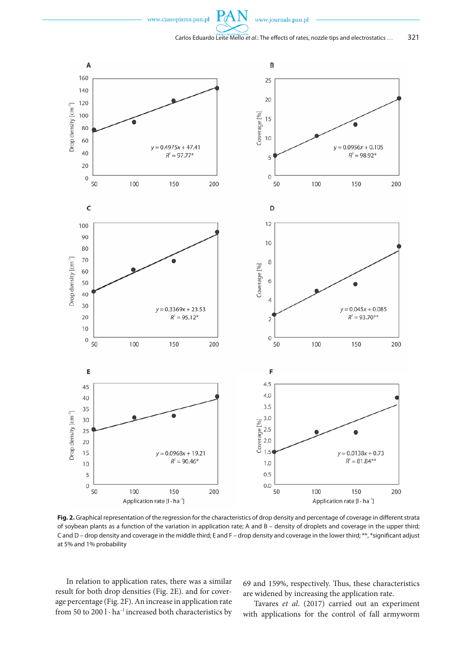$P\mathcal{A}$ 



**Fig. 2.** Graphical representation of the regression for the characteristics of drop density and percentage of coverage in different strata of soybean plants as a function of the variation in application rate; A and B – density of droplets and coverage in the upper third; C and D – drop density and coverage in the middle third; E and F – drop density and coverage in the lower third; \*\*, \*significant adjust at 5% and 1% probability

In relation to application rates, there was a similar result for both drop densities (Fig. 2E). and for coverage percentage (Fig. 2F). An increase in application rate from 50 to 200  $l \cdot ha^{-1}$  increased both characteristics by

69 and 159%, respectively. Thus, these characteristics are widened by increasing the application rate.

Tavares *et al*. (2017) carried out an experiment with applications for the control of fall armyworm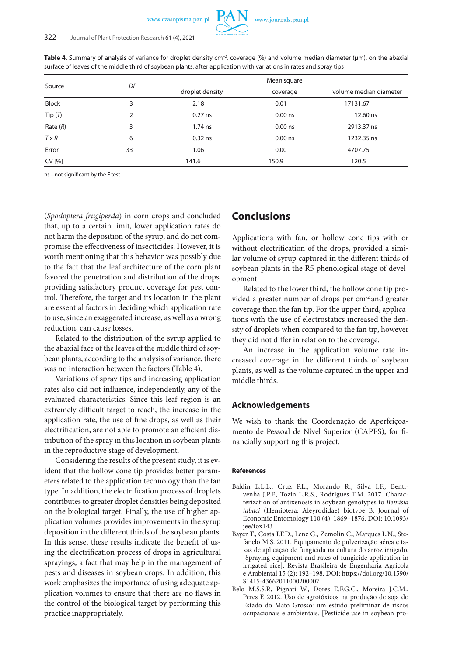| Source       |    | Mean square     |           |                        |  |
|--------------|----|-----------------|-----------|------------------------|--|
|              | DF | droplet density | coverage  | volume median diameter |  |
| <b>Block</b> | 3  | 2.18            | 0.01      | 17131.67               |  |
| Tip (7)      | 2  | $0.27$ ns       | $0.00$ ns | 12.60 ns               |  |
| Rate $(R)$   | 3  | $1.74$ ns       | $0.00$ ns | 2913.37 ns             |  |
| TXR          | 6  | $0.32$ ns       | $0.00$ ns | 1232.35 ns             |  |
| Error        | 33 | 1.06            | 0.00      | 4707.75                |  |
| CV [%]       |    | 141.6           | 150.9     | 120.5                  |  |

**Table 4.** Summary of analysis of variance for droplet density cm–2, coverage (%) and volume median diameter (μm), on the abaxial surface of leaves of the middle third of soybean plants, after application with variations in rates and spray tips

ns –not significant by the *F* test

(*Spodoptera frugiperda*) in corn crops and concluded that, up to a certain limit, lower application rates do not harm the deposition of the syrup, and do not compromise the effectiveness of insecticides. However, it is worth mentioning that this behavior was possibly due to the fact that the leaf architecture of the corn plant favored the penetration and distribution of the drops, providing satisfactory product coverage for pest control. Therefore, the target and its location in the plant are essential factors in deciding which application rate to use, since an exaggerated increase, as well as a wrong reduction, can cause losses.

Related to the distribution of the syrup applied to the abaxial face of the leaves of the middle third of soybean plants, according to the analysis of variance, there was no interaction between the factors (Table 4).

Variations of spray tips and increasing application rates also did not influence, independently, any of the evaluated characteristics. Since this leaf region is an extremely difficult target to reach, the increase in the application rate, the use of fine drops, as well as their electrification, are not able to promote an efficient distribution of the spray in this location in soybean plants in the reproductive stage of development.

Considering the results of the present study, it is evident that the hollow cone tip provides better parameters related to the application technology than the fan type. In addition, the electrification process of droplets contributes to greater droplet densities being deposited on the biological target. Finally, the use of higher application volumes provides improvements in the syrup deposition in the different thirds of the soybean plants. In this sense, these results indicate the benefit of using the electrification process of drops in agricultural sprayings, a fact that may help in the management of pests and diseases in soybean crops. In addition, this work emphasizes the importance of using adequate application volumes to ensure that there are no flaws in the control of the biological target by performing this practice inappropriately.

## **Conclusions**

Applications with fan, or hollow cone tips with or without electrification of the drops, provided a similar volume of syrup captured in the different thirds of soybean plants in the R5 phenological stage of development.

Related to the lower third, the hollow cone tip provided a greater number of drops per cm-2 and greater coverage than the fan tip. For the upper third, applications with the use of electrostatics increased the density of droplets when compared to the fan tip, however they did not differ in relation to the coverage.

An increase in the application volume rate increased coverage in the different thirds of soybean plants, as well as the volume captured in the upper and middle thirds.

### **Acknowledgements**

We wish to thank the Coordenação de Aperfeiçoamento de Pessoal de Nível Superior (CAPES), for financially supporting this project.

#### **References**

- Baldin E.L.L., Cruz P.L., Morando R., Silva I.F., Bentivenha J.P.F., Tozin L.R.S., Rodrigues T.M. 2017. Characterization of antixenosis in soybean genotypes to *Bemisia tabaci* (Hemiptera: Aleyrodidae) biotype B. Journal of Economic Entomology 110 (4): 1869–1876. DOI: 10.1093/ jee/tox143
- Bayer T., Costa I.F.D., Lenz G., Zemolin C., Marques L.N., Stefanelo M.S. 2011. Equipamento de pulverização aérea e taxas de aplicação de fungicida na cultura do arroz irrigado. [Spraying equipment and rates of fungicide application in irrigated rice]. Revista Brasileira de Engenharia Agrícola e Ambiental 15 (2): 192–198. DOI: https://doi.org/10.1590/ S1415-43662011000200007
- Belo M.S.S.P., Pignati W., Dores E.F.G.C., Moreira J.C.M., Peres F. 2012. Uso de agrotóxicos na produção de soja do Estado do Mato Grosso: um estudo preliminar de riscos ocupacionais e ambientais. [Pesticide use in soybean pro-